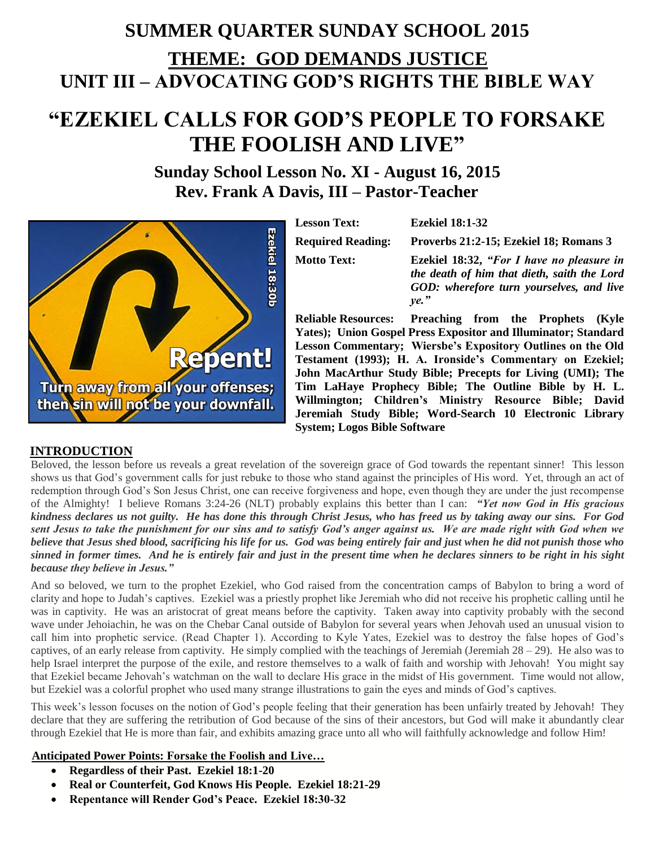# **SUMMER QUARTER SUNDAY SCHOOL 2015 THEME: GOD DEMANDS JUSTICE UNIT III – ADVOCATING GOD'S RIGHTS THE BIBLE WAY**

# **"EZEKIEL CALLS FOR GOD'S PEOPLE TO FORSAKE THE FOOLISH AND LIVE"**

# **Sunday School Lesson No. XI - August 16, 2015 Rev. Frank A Davis, III – Pastor-Teacher**

Ezekiel 18:30b **Repent! Turn away from all your offenses;** then sin will not be your downfall.

**Lesson Text: Ezekiel 18:1-32**

**Required Reading: Proverbs 21:2-15; Ezekiel 18; Romans 3** 

**Motto Text: Ezekiel 18:32,** *"For I have no pleasure in the death of him that dieth, saith the Lord GOD: wherefore turn yourselves, and live ye."*

**Reliable Resources: Preaching from the Prophets (Kyle Yates); Union Gospel Press Expositor and Illuminator; Standard Lesson Commentary; Wiersbe's Expository Outlines on the Old Testament (1993); H. A. Ironside's Commentary on Ezekiel; John MacArthur Study Bible; Precepts for Living (UMI); The Tim LaHaye Prophecy Bible; The Outline Bible by H. L. Willmington; Children's Ministry Resource Bible; David Jeremiah Study Bible; Word-Search 10 Electronic Library System; Logos Bible Software**

### **INTRODUCTION**

Beloved, the lesson before us reveals a great revelation of the sovereign grace of God towards the repentant sinner! This lesson shows us that God's government calls for just rebuke to those who stand against the principles of His word. Yet, through an act of redemption through God's Son Jesus Christ, one can receive forgiveness and hope, even though they are under the just recompense of the Almighty! I believe Romans 3:24-26 (NLT) probably explains this better than I can: *"Yet now God in His gracious kindness declares us not guilty. He has done this through Christ Jesus, who has freed us by taking away our sins. For God sent Jesus to take the punishment for our sins and to satisfy God's anger against us. We are made right with God when we believe that Jesus shed blood, sacrificing his life for us. God was being entirely fair and just when he did not punish those who sinned in former times. And he is entirely fair and just in the present time when he declares sinners to be right in his sight because they believe in Jesus."* 

And so beloved, we turn to the prophet Ezekiel, who God raised from the concentration camps of Babylon to bring a word of clarity and hope to Judah's captives. Ezekiel was a priestly prophet like Jeremiah who did not receive his prophetic calling until he was in captivity. He was an aristocrat of great means before the captivity. Taken away into captivity probably with the second wave under Jehoiachin, he was on the Chebar Canal outside of Babylon for several years when Jehovah used an unusual vision to call him into prophetic service. (Read Chapter 1). According to Kyle Yates, Ezekiel was to destroy the false hopes of God's captives, of an early release from captivity. He simply complied with the teachings of Jeremiah (Jeremiah 28 – 29). He also was to help Israel interpret the purpose of the exile, and restore themselves to a walk of faith and worship with Jehovah! You might say that Ezekiel became Jehovah's watchman on the wall to declare His grace in the midst of His government. Time would not allow, but Ezekiel was a colorful prophet who used many strange illustrations to gain the eyes and minds of God's captives.

This week's lesson focuses on the notion of God's people feeling that their generation has been unfairly treated by Jehovah! They declare that they are suffering the retribution of God because of the sins of their ancestors, but God will make it abundantly clear through Ezekiel that He is more than fair, and exhibits amazing grace unto all who will faithfully acknowledge and follow Him!

#### **Anticipated Power Points: Forsake the Foolish and Live…**

- **Regardless of their Past. Ezekiel 18:1-20**
- **Real or Counterfeit, God Knows His People. Ezekiel 18:21-29**
- **Repentance will Render God's Peace. Ezekiel 18:30-32**